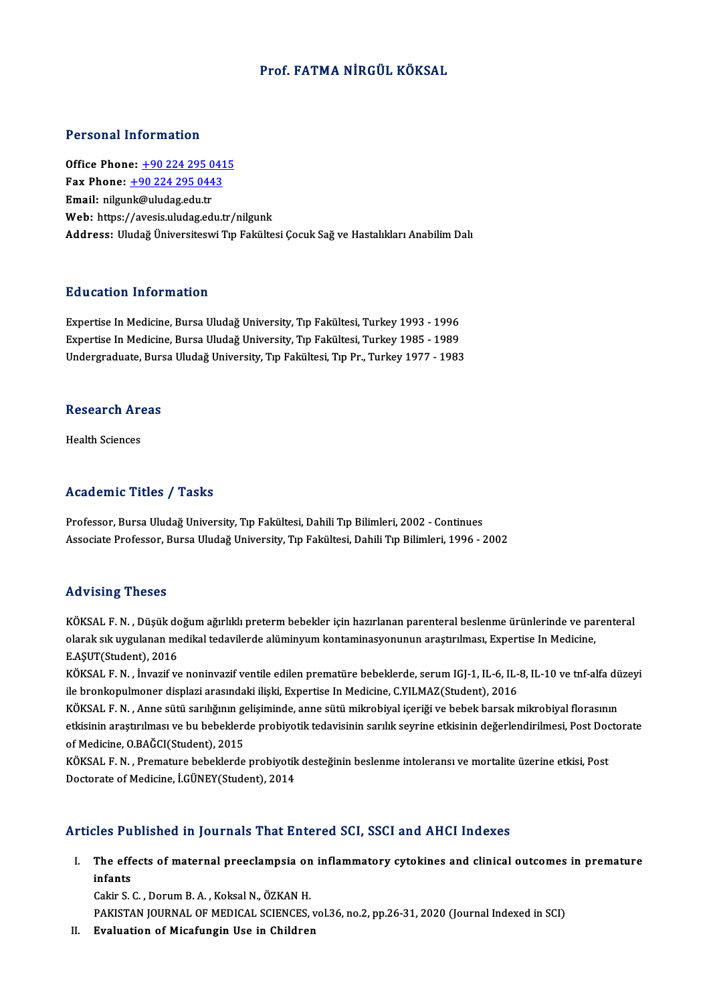### Prof. FATMA NİRGÜL KÖKSAL

#### Personal Information

Office Phone: +90 224 295 0415 1 0100111 11101 1111011<br>Office Phone: <u>+90 224 295 0443</u><br>Fmail: nilmuhk@uludag.edu.tr Office Phone: <u>+90 224 295 0</u><br>Fax Phone: <u>+90 224 295 044</u><br>Email: nilgu[nk@uludag.edu.tr](tel:+90 224 295 0443) Email: nilgunk@uludag.edu.tr<br>Web: https://avesis.uludag.edu.tr/nilgunk Address: Uludağ Üniversiteswi Tıp Fakültesi Çocuk Sağ ve Hastalıkları Anabilim Dalı

#### Education Information

Education Information<br>Expertise In Medicine, Bursa Uludağ University, Tıp Fakültesi, Turkey 1993 - 1996<br>Expertise In Medicine, Bursa Uludağ University, Tıp Fakültesi, Turkey 1995 - 1999 Expertise In Medicine, Bursa Uludağ University, Tıp Fakültesi, Turkey 1993 - 1996<br>Expertise In Medicine, Bursa Uludağ University, Tıp Fakültesi, Turkey 1985 - 1989<br>Undergraduate Bursa Uludağ University, Tıp Fakültesi, Tıp Expertise In Medicine, Bursa Uludağ University, Tıp Fakültesi, Turkey 1985 - 1989<br>Undergraduate, Bursa Uludağ University, Tıp Fakültesi, Tıp Pr., Turkey 1977 - 1983

# ondergraduate, Burs<br>Research Areas R<mark>esearch Ar</mark><br>Health Sciences

# Academic Titles / Tasks

Professor, Bursa Uludağ University, Tıp Fakültesi, Dahili Tıp Bilimleri, 2002 - Continues Associate Professor, Bursa Uludağ University, Tıp Fakültesi, Dahili Tıp Bilimleri, 1996 - 2002

#### Advising Theses

Advising Theses<br>KÖKSAL F. N. , Düşük doğum ağırlıklı preterm bebekler için hazırlanan parenteral beslenme ürünlerinde ve parenteral<br>alarak alt uygulanan mediltal tedavilerde alüminyum kantaminesyonunun arastırılması. Evner rra v forng "Trobod"<br>KÖKSAL F. N. , Düşük doğum ağırlıklı preterm bebekler için hazırlanan parenteral beslenme ürünlerinde ve pai<br>P. ASUT(Student), 2016 KÖKSAL F. N. , Düşük de<br>olarak sık uygulanan me<br>E.AŞUT(Student), 2016<br>VÖKSAL E. N. , İnvarif v olarak sık uygulanan medikal tedavilerde alüminyum kontaminasyonunun araştırılması, Expertise In Medicine,<br>E.AŞUT(Student), 2016<br>KÖKSAL F. N. , İnvazif ve noninvazif ventile edilen prematüre bebeklerde, serum IGJ-1, IL-6,

E.AŞUT(Student), 2016<br>KÖKSAL F. N. , İnvazif ve noninvazif ventile edilen prematüre bebeklerde, serum IGJ-1, IL-6, IL-<br>ile bronkopulmoner displazi arasındaki ilişki, Expertise In Medicine, C.YILMAZ(Student), 2016<br>KÖKSAL E. KÖKSAL F. N. , İnvazif ve noninvazif ventile edilen prematüre bebeklerde, serum IGJ-1, IL-6, IL-8, IL-10 ve tnf-alfa dü<br>ile bronkopulmoner displazi arasındaki ilişki, Expertise In Medicine, C.YILMAZ(Student), 2016<br>KÖKSAL F

ile bronkopulmoner displazi arasındaki ilişki, Expertise In Medicine, C.YILMAZ(Student), 2016<br>KÖKSAL F. N. , Anne sütü sarılığının gelişiminde, anne sütü mikrobiyal içeriği ve bebek barsak mikrobiyal florasının<br>etkisinin a KÖKSAL F. N. , Anne sütü sarılığının ge<br>etkisinin araştırılması ve bu bebeklerd<br>of Medicine, O.BAĞCI(Student), 2015<br>KÖKSAL E.N. - Bromature bebeklerde etkisinin araştırılması ve bu bebeklerde probiyotik tedavisinin sarılık seyrine etkisinin değerlendirilmesi, Post Doc<br>of Medicine, O.BAĞCI(Student), 2015<br>KÖKSAL F. N. , Premature bebeklerde probiyotik desteğinin beslenme i

of Medicine, O.BAĞCI(Student), 2015<br>KÖKSAL F. N. , Premature bebeklerde probiyotik desteğinin beslenme intoleransı ve mortalite üzerine etkisi, Post<br>Doctorate of Medicine, İ.GÜNEY(Student), 2014

### Articles Published in Journals That Entered SCI, SSCI and AHCI Indexes

rticles Published in Journals That Entered SCI, SSCI and AHCI Indexes<br>I. The effects of maternal preeclampsia on inflammatory cytokines and clinical outcomes in premature<br>infonts  $\frac{1}{100}$  is the effection of  $\frac{1}{100}$  is  $\frac{1}{100}$  in  $\frac{1}{100}$  is  $\frac{1}{100}$  in  $\frac{1}{100}$  is  $\frac{1}{100}$ The effects of maternal preeclampsia on<br>infants<br>Cakir S. C. , Dorum B. A. , Koksal N., ÖZKAN H.<br>PAKISTAN JOUPNAL OF MEDICAL SCIENCES

infants<br>Cakir S. C. , Dorum B. A. , Koksal N., ÖZKAN H.<br>PAKISTAN JOURNAL OF MEDICAL SCIENCES, vol.36, no.2, pp.26-31, 2020 (Journal Indexed in SCI)

II. Evaluation of Micafungin Use in Children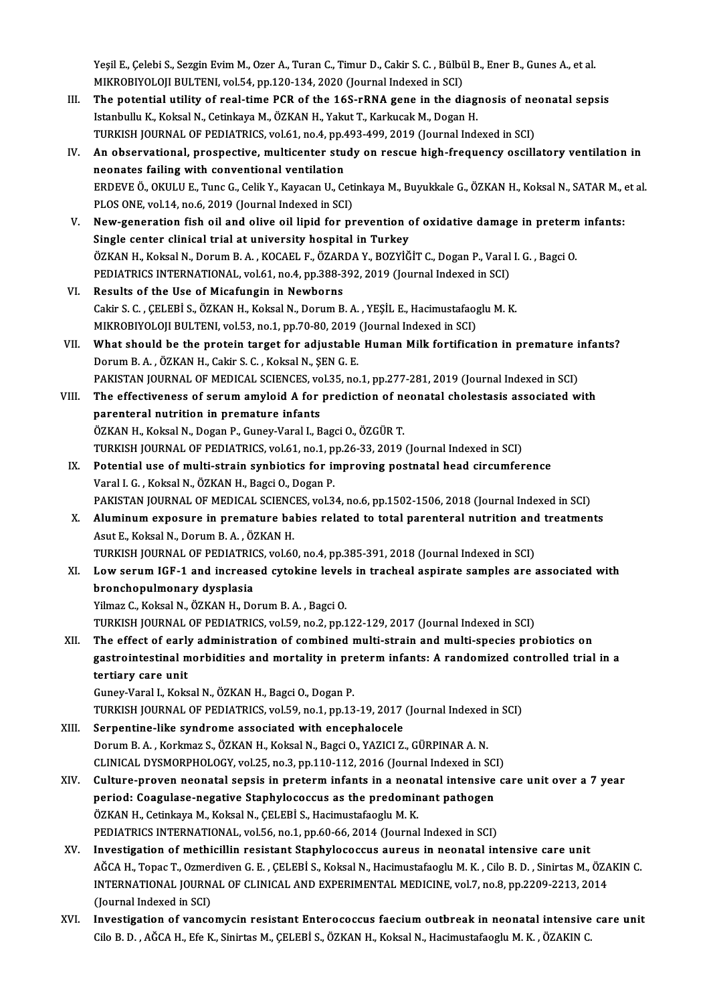Yeşil E., Çelebi S., Sezgin Evim M., Ozer A., Turan C., Timur D., Cakir S. C. , Bülbül B., Ener B., Gunes A., et al.<br>MIKRORIYOLOU BULTENL YRLE4, PR 120, 134, 2020 (Journal Indoved in SCL) Yeşil E., Çelebi S., Sezgin Evim M., Ozer A., Turan C., Timur D., Cakir S. C. , Bülbü<br>MIKROBIYOLOJI BULTENI, vol.54, pp.120-134, 2020 (Journal Indexed in SCI)<br>The potential utility of real time PCP of the 16S rPNA gene in Yeşil E., Çelebi S., Sezgin Evim M., Ozer A., Turan C., Timur D., Cakir S. C. , Bülbül B., Ener B., Gunes A., et al.<br>MIKROBIYOLOJI BULTENI, vol.54, pp.120-134, 2020 (Journal Indexed in SCI)<br>III. The potential utility of re

- MIKROBIYOLOJI BULTENI, vol.54, pp.120-134, 2020 (Journal Indexed in SCI)<br>III. The potential utility of real-time PCR of the 16S-rRNA gene in the diagnosis of neonatal sepsis<br>Istanbullu K., Koksal N., Cetinkaya M., ÖZKAN H. The potential utility of real-time PCR of the 16S-rRNA gene in the diagnosis of ne<br>Istanbullu K., Koksal N., Cetinkaya M., ÖZKAN H., Yakut T., Karkucak M., Dogan H.<br>TURKISH JOURNAL OF PEDIATRICS, vol.61, no.4, pp.493-499,
- IV. An observational, prospective, multicenter study on rescue high-frequency oscillatory ventilation in neonates failing with conventional ventilation TURKISH JOURNAL OF PEDIATRICS, vol.61, no.4, pp.4<br>An observational, prospective, multicenter stu<br>neonates failing with conventional ventilation<br>EPDEVE Ö. OKULU E. Tung C. Colik V. Kavasan II. Co An observational, prospective, multicenter study on rescue high-frequency oscillatory ventilation in<br>neonates failing with conventional ventilation<br>ERDEVE Ö., OKULU E., Tunc G., Celik Y., Kayacan U., Cetinkaya M., Buyukkal neonates failing with conventional ventilation<br>ERDEVE Ö., OKULU E., Tunc G., Celik Y., Kayacan U., Ceti<br>PLOS ONE, vol.14, no.6, 2019 (Journal Indexed in SCI)<br>New concretion fish oil and olive oil linid for nr ERDEVE Ö., OKULU E., Tunc G., Celik Y., Kayacan U., Cetinkaya M., Buyukkale G., ÖZKAN H., Koksal N., SATAR M., 6<br>PLOS ONE, vol.14, no.6, 2019 (Journal Indexed in SCI)<br>V. New-generation fish oil and olive oil lipid for prev
- PLOS ONE, vol.14, no.6, 2019 (Journal Indexed in SCI)<br>New-generation fish oil and olive oil lipid for prevention of<br>Single center clinical trial at university hospital in Turkey<br>ÖZKAN H. Koksal N. Dorum B.A., KOCAEL E. ÖZA New-generation fish oil and olive oil lipid for prevention of oxidative damage in preterm<br>Single center clinical trial at university hospital in Turkey<br>ÖZKAN H., Koksal N., Dorum B. A. , KOCAEL F., ÖZARDA Y., BOZYİĞİT C., Single center clinical trial at university hospital in Turkey<br>ÖZKAN H., Koksal N., Dorum B. A. , KOCAEL F., ÖZARDA Y., BOZYİĞİT C., Dogan P., Varal I. G. , Bagci O.<br>PEDIATRICS INTERNATIONAL, vol.61, no.4, pp.388-392, 2019
- VI. Results of the Use of Micafungin in Newborns PEDIATRICS INTERNATIONAL, vol.61, no.4, pp.388-392, 2019 (Journal Indexed in SCI)<br>Results of the Use of Micafungin in Newborns<br>Cakir S. C. , ÇELEBİ S., ÖZKAN H., Koksal N., Dorum B. A. , YEŞİL E., Hacimustafaoglu M. K.<br>MIK Results of the Use of Micafungin in Newborns<br>Cakir S. C. , ÇELEBİ S., ÖZKAN H., Koksal N., Dorum B. A. , YEŞİL E., Hacimustafaog<br>MIKROBIYOLOJI BULTENI, vol.53, no.1, pp.70-80, 2019 (Journal Indexed in SCI)<br>What should be t MIKROBIYOLOJI BULTENI, vol.53, no.1, pp.70-80, 2019 (Journal Indexed in SCI)
- VII. What should be the protein target for adjustable Human Milk fortification in premature infants?<br>Dorum B. A., ÖZKAN H., Cakir S. C., Koksal N., SEN G. E. What should be the protein target for adjustable Human Milk fortification in premature i<br>Dorum B.A., ÖZKAN H., Cakir S. C., Koksal N., ŞEN G. E.<br>PAKISTAN JOURNAL OF MEDICAL SCIENCES, vol.35, no.1, pp.277-281, 2019 (Journal Dorum B. A. , ÖZKAN H., Cakir S. C. , Koksal N., ŞEN G. E.<br>PAKISTAN JOURNAL OF MEDICAL SCIENCES, vol.35, no.1, pp.277-281, 2019 (Journal Indexed in SCI)<br>VIII. The effectiveness of serum amyloid A for prediction of neon
- PAKISTAN JOURNAL OF MEDICAL SCIENCES, vo<br>The effectiveness of serum amyloid A for<br>parenteral nutrition in premature infants<br>ÖZKAN H. Koksal N. Dogan B. Cuney Varal L. B The effectiveness of serum amyloid A for prediction of no<br>parenteral nutrition in premature infants<br>ÖZKAN H., Koksal N., Dogan P., Guney-Varal I., Bagci O., ÖZGÜR T.<br>TURKISH JOURNAL OF REDIATRICS vol 61 no 1 nn 26 33 2019 parenteral nutrition in premature infants<br>ÖZKAN H., Koksal N., Dogan P., Guney-Varal I., Bagci O., ÖZGÜR T.<br>TURKISH JOURNAL OF PEDIATRICS, vol.61, no.1, pp.26-33, 2019 (Journal Indexed in SCI)<br>Petential use of multi strain
- ÖZKAN H., Koksal N., Dogan P., Guney-Varal I., Bagci O., ÖZGÜR T.<br>TURKISH JOURNAL OF PEDIATRICS, vol.61, no.1, pp.26-33, 2019 (Journal Indexed in SCI)<br>IX. Potential use of multi-strain synbiotics for improving postnatal he TURKISH JOURNAL OF PEDIATRICS, vol.61, no.1, p<br>Potential use of multi-strain synbiotics for in<br>Varal I. G. , Koksal N., ÖZKAN H., Bagci O., Dogan P.<br>PAKISTAN JOURNAL OF MEDICAL SCIENCES, vol.2 PAKISTAN JOURNAL OF MEDICAL SCIENCES, vol.34, no.6, pp.1502-1506, 2018 (Journal Indexed in SCI)
- Varal I. G., Koksal N., ÖZKAN H., Bagci O., Dogan P.<br>PAKISTAN JOURNAL OF MEDICAL SCIENCES, vol.34, no.6, pp.1502-1506, 2018 (Journal Indexed in SCI)<br>X. Aluminum exposure in premature babies related to total parenteral nutr PAKISTAN JOURNAL OF MEDICAL SCIENC<br>Aluminum exposure in premature ba<br>Asut E., Koksal N., Dorum B. A. , ÖZKAN H.<br>TURKISH JOURNAL OF PEDIATRICS volet Aluminum exposure in premature babies related to total parenteral nutrition and<br>Asut E., Koksal N., Dorum B. A. , ÖZKAN H.<br>TURKISH JOURNAL OF PEDIATRICS, vol.60, no.4, pp.385-391, 2018 (Journal Indexed in SCI)<br>Low serum JC TURKISH JOURNAL OF PEDIATRICS, vol.60, no.4, pp.385-391, 2018 (Journal Indexed in SCI)
- Asut E., Koksal N., Dorum B. A. , ÖZKAN H.<br>TURKISH JOURNAL OF PEDIATRICS, vol.60, no.4, pp.385-391, 2018 (Journal Indexed in SCI)<br>XI. Low serum IGF-1 and increased cytokine levels in tracheal aspirate samples are associate bronchopulmonary dysplasia<br>Yilmaz C., Koksal N., ÖZKAN H., Dorum B. A. , Bagci O.<br>TURKISH JOURNAL OF PEDIATRICS, vol.59, no.2, pp.122-129, 2017 (Journal Indexed in SCI)<br>The effect of early edministration of combined multi

Yilmaz C., Koksal N., ÖZKAN H., Dorum B. A., Bagci O.

Yilmaz C., Koksal N., ÖZKAN H., Dorum B. A. , Bagci O.<br>TURKISH JOURNAL OF PEDIATRICS, vol.59, no.2, pp.122-129, 2017 (Journal Indexed in SCI)<br>XII. The effect of early administration of combined multi-strain and multi-speci TURKISH JOURNAL OF PEDIATRICS, vol.59, no.2, pp.122-129, 2017 (Journal Indexed in SCI)<br>The effect of early administration of combined multi-strain and multi-species probiotics on<br>gastrointestinal morbidities and mortality The effect of early<br>gastrointestinal m<br>tertiary care unit gastrointestinal morbidities and mortality in pre<br>tertiary care unit<br>Guney-Varal I., Koksal N., ÖZKAN H., Bagci O., Dogan P.<br>TURKISH JOURNAL OF REDIATRICS, vol 59, no 1, nn 12 tertiary care unit<br>Guney-Varal I., Koksal N., ÖZKAN H., Bagci O., Dogan P.<br>TURKISH JOURNAL OF PEDIATRICS, vol.59, no.1, pp.13-19, 2017 (Journal Indexed in SCI)<br>Serpentine like syndrome associated with onsenhalesele

- Guney-Varal I., Koksal N., ÖZKAN H., Bagci O., Dogan P.<br>TURKISH JOURNAL OF PEDIATRICS, vol.59, no.1, pp.13-19, 2017 (Journal Indexed<br>XIII. Serpentine-like syndrome associated with encephalocele<br>Dorum B. A. , Korkmaz S., ÖZ TURKISH JOURNAL OF PEDIATRICS, vol.59, no.1, pp.13-19, 2017 (Journal Indexed<br>Serpentine-like syndrome associated with encephalocele<br>Dorum B. A. , Korkmaz S., ÖZKAN H., Koksal N., Bagci O., YAZICI Z., GÜRPINAR A. N.<br>CLINICA Serpentine-like syndrome associated with encephalocele<br>Dorum B. A. , Korkmaz S., ÖZKAN H., Koksal N., Bagci O., YAZICI Z., GÜRPINAR A. N.<br>CLINICAL DYSMORPHOLOGY, vol.25, no.3, pp.110-112, 2016 (Journal Indexed in SCI)<br>Cult Dorum B. A. , Korkmaz S., ÖZKAN H., Koksal N., Bagci O., YAZICI Z., GÜRPINAR A. N.<br>CLINICAL DYSMORPHOLOGY, vol.25, no.3, pp.110-112, 2016 (Journal Indexed in SCI)<br>XIV. Culture-proven neonatal sepsis in preterm infants in a
- CLINICAL DYSMORPHOLOGY, vol.25, no.3, pp.110-112, 2016 (Journal Indexed in SC)<br>Culture-proven neonatal sepsis in preterm infants in a neonatal intensive<br>period: Coagulase-negative Staphylococcus as the predominant pathogen Culture-proven neonatal sepsis in preterm infants in a neor<br>period: Coagulase-negative Staphylococcus as the predomin<br>ÖZKAN H., Cetinkaya M., Koksal N., ÇELEBİ S., Hacimustafaoglu M. K.<br>PEDIATRICS INTERNATIONAL, vel 56 no. period: Coagulase-negative Staphylococcus as the predominant pathogen<br>ÖZKAN H., Cetinkaya M., Koksal N., ÇELEBİ S., Hacimustafaoglu M. K.<br>PEDIATRICS INTERNATIONAL, vol.56, no.1, pp.60-66, 2014 (Journal Indexed in SCI)
- XV. Investigation of methicillin resistant Staphylococcus aureus in neonatal intensive care unit PEDIATRICS INTERNATIONAL, vol.56, no.1, pp.60-66, 2014 (Journal Indexed in SCI)<br>Investigation of methicillin resistant Staphylococcus aureus in neonatal intensive care unit<br>AĞCA H., Topac T., Ozmerdiven G. E. , ÇELEBİ S., Investigation of methicillin resistant Staphylococcus aureus in neonatal intensive care unit<br>AĞCA H., Topac T., Ozmerdiven G. E. , ÇELEBİ S., Koksal N., Hacimustafaoglu M. K. , Cilo B. D. , Sinirtas M., ÖZA<br>INTERNATIONAL J AĞCA H., Topac T., Ozmer<br>INTERNATIONAL JOURN.<br>(Journal Indexed in SCI)<br>Investigation of vance INTERNATIONAL JOURNAL OF CLINICAL AND EXPERIMENTAL MEDICINE, vol.7, no.8, pp.2209-2213, 2014<br>(Journal Indexed in SCI)<br>XVI. Investigation of vancomycin resistant Enterococcus faecium outbreak in neonatal intensive care u
- CiloB.D. ,AĞCAH.,EfeK.,SinirtasM.,ÇELEBİ S.,ÖZKANH.,KoksalN.,HacimustafaogluM.K. ,ÖZAKINC.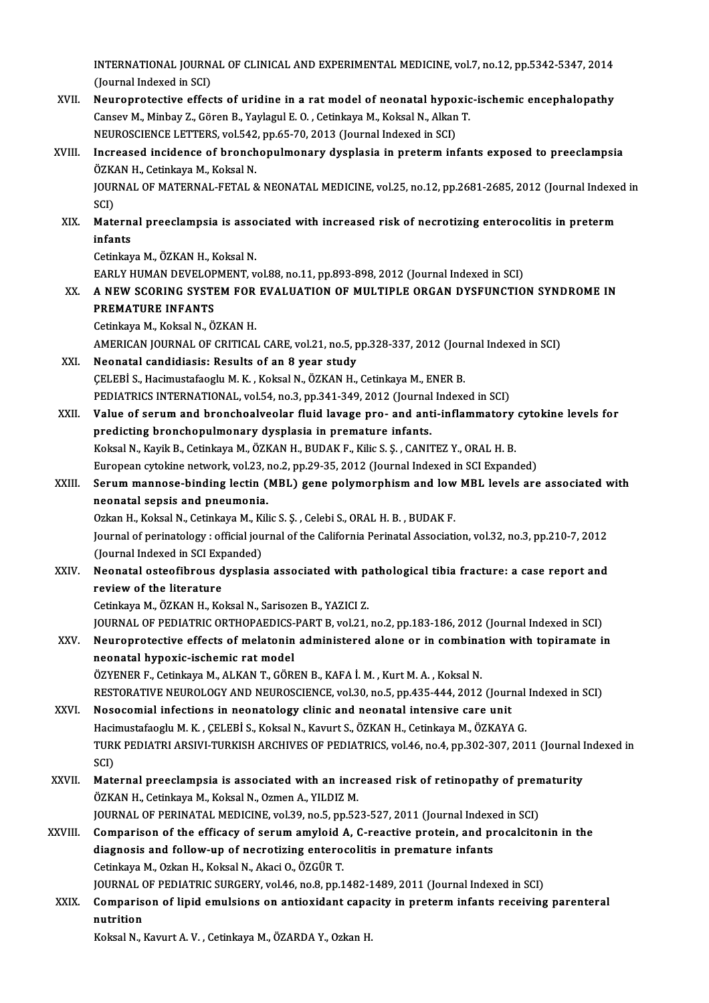INTERNATIONAL JOURNAL OF CLINICAL AND EXPERIMENTAL MEDICINE, vol.7, no.12, pp.5342-5347, 2014<br>(Jaunnal Indoved in SCI) INTERNATIONAL JOURN<br>(Journal Indexed in SCI)<br>Nouronnatestive offee INTERNATIONAL JOURNAL OF CLINICAL AND EXPERIMENTAL MEDICINE, vol.7, no.12, pp.5342-5347, 2014<br>(Journal Indexed in SCI)<br>XVII. Neuroprotective effects of uridine in a rat model of neonatal hypoxic-ischemic encephalopathy<br>Con

- (Journal Indexed in SCI)<br>Neuroprotective effects of uridine in a rat model of neonatal hypoxic<br>Cansev M., Minbay Z., Gören B., Yaylagul E. O. , Cetinkaya M., Koksal N., Alkan T.<br>NEUPOSCIENCE LETTERS, vol 542, np.65, 70, 20 Neuroprotective effects of uridine in a rat model of neonatal hypo:<br>Cansev M., Minbay Z., Gören B., Yaylagul E. O. , Cetinkaya M., Koksal N., Alkan<br>NEUROSCIENCE LETTERS, vol.542, pp.65-70, 2013 (Journal Indexed in SCI)<br>Inc NEUROSCIENCE LETTERS, vol.542, pp.65-70, 2013 (Journal Indexed in SCI)
- Cansev M., Minbay Z., Gören B., Yaylagul E. O. , Cetinkaya M., Koksal N., Alkan T.<br>NEUROSCIENCE LETTERS, vol.542, pp.65-70, 2013 (Journal Indexed in SCI)<br>XVIII. Increased incidence of bronchopulmonary dysplasia in preterm Increased incidence of bronchopulmonary dysplasia in preterm infants exposed to preeclampsia<br>ÖZKAN H., Cetinkaya M., Koksal N.<br>JOURNAL OF MATERNAL-FETAL & NEONATAL MEDICINE, vol.25, no.12, pp.2681-2685, 2012 (Journal Index ÖZK<br>JOUR<br>SCI)<br>Mate JOURNAL OF MATERNAL-FETAL & NEONATAL MEDICINE, vol.25, no.12, pp.2681-2685, 2012 (Journal Indexe<br>SCI)<br>XIX. Maternal preeclampsia is associated with increased risk of necrotizing enterocolitis in preterm<br>infonts
	- SCI)<br>Matern:<br>infants<br><sup>Cotinkov</sup> Maternal preeclampsia is asso<br>infants<br>Cetinkaya M., ÖZKAN H., Koksal N.<br>EARLY HUMAN DEVELOPMENT... i<mark>nfants</mark><br>Cetinkaya M., ÖZKAN H., Koksal N.<br>EARLY HUMAN DEVELOPMENT, vol.88, no.11, pp.893-898, 2012 (Journal Indexed in SCI)<br>A NEW SCORINC SYSTEM FOR EVALUATION OF MIJI TIRLE ORCAN DYSEJINCTIO

# Cetinkaya M., ÖZKAN H., Koksal N.<br>EARLY HUMAN DEVELOPMENT, vol.88, no.11, pp.893-898, 2012 (Journal Indexed in SCI)<br>XX. A NEW SCORING SYSTEM FOR EVALUATION OF MULTIPLE ORGAN DYSFUNCTION SYNDROME IN EARLY HUMAN DEVELOP<br>A NEW SCORING SYSTE<br>PREMATURE INFANTS A NEW SCORING SYSTEM FOR<br>PREMATURE INFANTS<br>Cetinkaya M., Koksal N., ÖZKAN H.<br>AMERICAN IQURNAL OF CRITICAL PREMATURE INFANTS<br>Cetinkaya M., Koksal N., ÖZKAN H.<br>AMERICAN JOURNAL OF CRITICAL CARE, vol.21, no.5, pp.328-337, 2012 (Journal Indexed in SCI)<br>Neonatel sendidiosis: Besults of an 8 year study.

Cetinkaya M., Koksal N., ÖZKAN H.<br>AMERICAN JOURNAL OF CRITICAL CARE, vol.21, no.5, p<br>XXI. Neonatal candidiasis: Results of an 8 year study AMERICAN JOURNAL OF CRITICAL CARE, vol.21, no.5, pp.328-337, 2012 (Journal Meonatal candidiasis: Results of an 8 year study<br>CELEBİ S., Hacimustafaoglu M. K. , Koksal N., ÖZKAN H., Cetinkaya M., ENER B.<br>REDIATRICS INTERNATI Neonatal candidiasis: Results of an 8 year study<br>ÇELEBİ S., Hacimustafaoglu M. K. , Koksal N., ÖZKAN H., Cetinkaya M., ENER B.<br>PEDIATRICS INTERNATIONAL, vol.54, no.3, pp.341-349, 2012 (Journal Indexed in SCI)<br>Value of senu CELEBI S., Hacimustafaoglu M. K. , Koksal N., ÖZKAN H., Cetinkaya M., ENER B.<br>PEDIATRICS INTERNATIONAL, vol.54, no.3, pp.341-349, 2012 (Journal Indexed in SCI)<br>XXII. Value of serum and bronchoalveolar fluid lavage pro- and

PEDIATRICS INTERNATIONAL, vol.54, no.3, pp.341-349, 2012 (Journal<br>Value of serum and bronchoalveolar fluid lavage pro- and ant<br>predicting bronchopulmonary dysplasia in premature infants.<br>Koksel N. Kavik B. Cotinkava M. ÖZK Koksal N., Kayik B., Cetinkaya M., ÖZKAN H., BUDAK F., Kilic S. Ş. , CANITEZ Y., ORAL H. B. predicting bronchopulmonary dysplasia in premature infants.<br>Koksal N., Kayik B., Cetinkaya M., ÖZKAN H., BUDAK F., Kilic S. Ş. , CANITEZ Y., ORAL H. B.<br>European cytokine network, vol.23, no.2, pp.29-35, 2012 (Journal Index Koksal N., Kayik B., Cetinkaya M., ÖZKAN H., BUDAK F., Kilic S. Ş. , CANITEZ Y., ORAL H. B.<br>European cytokine network, vol.23, no.2, pp.29-35, 2012 (Journal Indexed in SCI Expanded)<br>XXIII. Serum mannose-binding lectin (MBL

European cytokine network, vol.23, i<br>Serum mannose-binding lectin (<br>neonatal sepsis and pneumonia.<br>Orkan H. Koksal N. Getinkaya M. Kil Serum mannose-binding lectin (MBL) gene polymorphism and low<br>neonatal sepsis and pneumonia.<br>Ozkan H., Koksal N., Cetinkaya M., Kilic S. Ş. , Celebi S., ORAL H. B. , BUDAK F.<br>Journal of peringtalogy : official journal of th

neonatal sepsis and pneumonia.<br>Ozkan H., Koksal N., Cetinkaya M., Kilic S. Ş. , Celebi S., ORAL H. B. , BUDAK F.<br>Journal of perinatology : official journal of the California Perinatal Association, vol.32, no.3, pp.210-7, 2 Ozkan H., Koksal N., Cetinkaya M., Ki<br>Journal of perinatology : official jou<br>(Journal Indexed in SCI Expanded)<br>Neonatal esteofibrous dysplasi Journal of perinatology : official journal of the California Perinatal Association, vol.32, no.3, pp.210-7, 2012<br>(Journal Indexed in SCI Expanded)<br>XXIV. Neonatal osteofibrous dysplasia associated with pathological tibia fr

# (Journal Indexed in SCI Exp)<br>Neonatal osteofibrous d<br>review of the literature<br>Cetinkaya M\_ÖZKAN H\_Ko Neonatal osteofibrous dysplasia associated with pa<br>review of the literature<br>Cetinkaya M., ÖZKAN H., Koksal N., Sarisozen B., YAZICI Z.<br>JOUPNAL OF PEDIATRIC OPTHORAEDICS RART P. vol 21

review of the literature<br>Cetinkaya M., ÖZKAN H., Koksal N., Sarisozen B., YAZICI Z.<br>JOURNAL OF PEDIATRIC ORTHOPAEDICS-PART B, vol.21, no.2, pp.183-186, 2012 (Journal Indexed in SCI)

# Cetinkaya M., ÖZKAN H., Koksal N., Sarisozen B., YAZICI Z.<br>JOURNAL OF PEDIATRIC ORTHOPAEDICS-PART B, vol.21, no.2, pp.183-186, 2012 (Journal Indexed in SCI)<br>XXV. Neuroprotective effects of melatonin administered alone or i neonatal hypoxic-ischemic rat model<br>ÖZYENER F., Cetinkaya M., ALKAN T., GÖREN B., KAFA İ. M. , Kurt M. A. , Koksal N. Neuroprotective effects of melatonin administered alone or in combina<br>neonatal hypoxic-ischemic rat model<br>ÖZYENER F., Cetinkaya M., ALKAN T., GÖREN B., KAFA İ. M. , Kurt M. A. , Koksal N.<br>RESTORATIVE NEUROLOCY AND NEUROSCI

neonatal hypoxic-ischemic rat model<br>ÖZYENER F., Cetinkaya M., ALKAN T., GÖREN B., KAFA İ. M. , Kurt M. A. , Koksal N.<br>RESTORATIVE NEUROLOGY AND NEUROSCIENCE, vol.30, no.5, pp.435-444, 2012 (Journal Indexed in SCI)<br>Nesessem

- XXVI. Nosocomial infections in neonatology clinic and neonatal intensive care unit<br>Hacimustafaoglu M. K., CELEBI S., Koksal N., Kavurt S., ÖZKAN H., Cetinkaya M., ÖZKAYA G. RESTORATIVE NEUROLOGY AND NEUROSCIENCE, vol.30, no.5, pp.435-444, 2012 (Journal<br>Nosocomial infections in neonatology clinic and neonatal intensive care unit<br>Hacimustafaoglu M. K. , ÇELEBİ S., Koksal N., Kavurt S., ÖZKAN H. Nosocomial infections in neonatology clinic and neonatal intensive care unit<br>Hacimustafaoglu M. K. , ÇELEBİ S., Koksal N., Kavurt S., ÖZKAN H., Cetinkaya M., ÖZKAYA G.<br>TURK PEDIATRI ARSIVI-TURKISH ARCHIVES OF PEDIATRICS, v Hacii<br>TURI<br>SCI)<br>Mate TURK PEDIATRI ARSIVI-TURKISH ARCHIVES OF PEDIATRICS, vol.46, no.4, pp.302-307, 2011 (Journal I<br>SCI)<br>XXVII. Maternal preeclampsia is associated with an increased risk of retinopathy of prematurity<br> $\ddot{o}774\text{N} + G$  Cotiniqu
- SCI)<br>Maternal preeclampsia is associated with an incr<br>ÖZKAN H., Cetinkaya M., Koksal N., Ozmen A., YILDIZ M.<br>JOUPNAL OF PERINATAL MEDICINE vol 29 no 5 nn 52 Maternal preeclampsia is associated with an increased risk of retinopathy of pren<br>ÖZKAN H., Cetinkaya M., Koksal N., Ozmen A., YILDIZ M.<br>JOURNAL OF PERINATAL MEDICINE, vol.39, no.5, pp.523-527, 2011 (Journal Indexed in SCI JOURNAL OF PERINATAL MEDICINE, vol.39, no.5, pp.523-527, 2011 (Journal Indexed in SCI)
- ÖZKAN H., Cetinkaya M., Koksal N., Ozmen A., YILDIZ M.<br>JOURNAL OF PERINATAL MEDICINE, vol.39, no.5, pp.523-527, 2011 (Journal Indexed in SCI)<br>XXVIII. Comparison of the efficacy of serum amyloid A, C-reactive protein, and p CetinkayaM.,OzkanH.,KoksalN.,AkaciO.,ÖZGÜRT. diagnosis and follow-up of necrotizing enterocolitis in premature infants<br>Cetinkaya M., Ozkan H., Koksal N., Akaci O., ÖZGÜR T.<br>JOURNAL OF PEDIATRIC SURGERY, vol.46, no.8, pp.1482-1489, 2011 (Journal Indexed in SCI)<br>Compan

Cetinkaya M., Ozkan H., Koksal N., Akaci O., ÖZGÜR T.<br>JOURNAL OF PEDIATRIC SURGERY, vol.46, no.8, pp.1482-1489, 2011 (Journal Indexed in SCI)<br>XXIX. Comparison of lipid emulsions on antioxidant capacity in preterm infan **JOURNAL**<br>Comparis<br>nutrition<br>Koksal N Comparison of lipid emulsions on antioxidant capacity in preterm infants receiving parenteral<br>nutrition<br>Koksal N., Kavurt A. V. , Cetinkaya M., ÖZARDA Y., Ozkan H.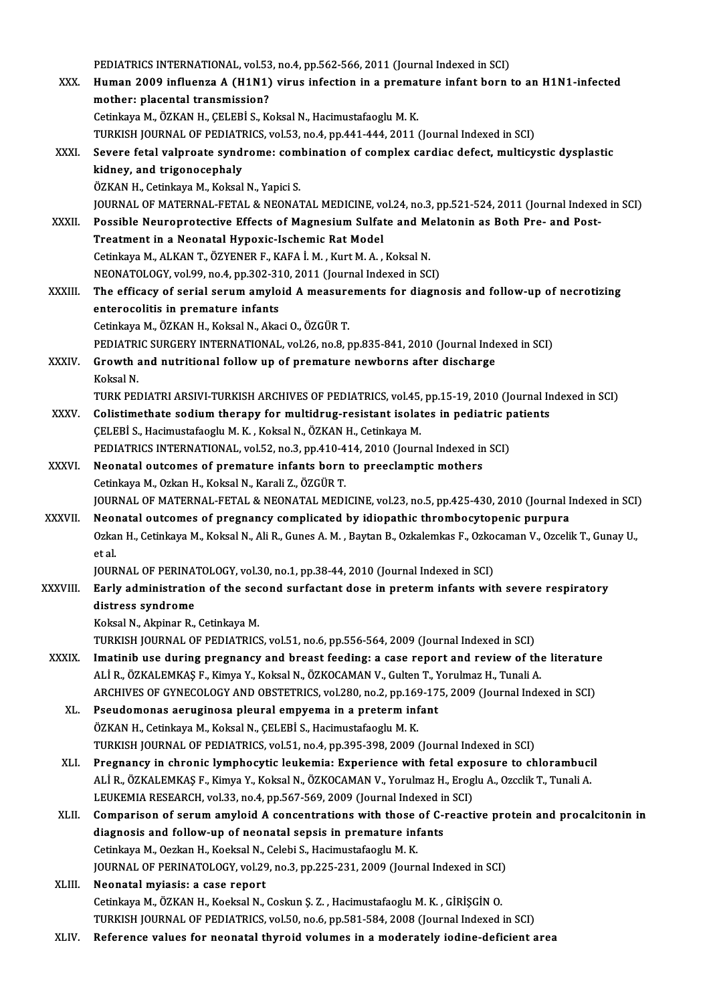|              | PEDIATRICS INTERNATIONAL, vol.53, no.4, pp.562-566, 2011 (Journal Indexed in SCI)                                                                                                           |
|--------------|---------------------------------------------------------------------------------------------------------------------------------------------------------------------------------------------|
| XXX.         | Human 2009 influenza A (H1N1) virus infection in a premature infant born to an H1N1-infected                                                                                                |
|              | mother: placental transmission?                                                                                                                                                             |
|              | Cetinkaya M., ÖZKAN H., ÇELEBİ S., Koksal N., Hacimustafaoglu M. K.                                                                                                                         |
|              | TURKISH JOURNAL OF PEDIATRICS, vol.53, no.4, pp.441-444, 2011 (Journal Indexed in SCI)                                                                                                      |
| XXXI.        | Severe fetal valproate syndrome: combination of complex cardiac defect, multicystic dysplastic                                                                                              |
|              | kidney, and trigonocephaly                                                                                                                                                                  |
|              | ÖZKAN H., Cetinkaya M., Koksal N., Yapici S.                                                                                                                                                |
|              | JOURNAL OF MATERNAL-FETAL & NEONATAL MEDICINE, vol.24, no.3, pp.521-524, 2011 (Journal Indexed in SCI)                                                                                      |
| XXXII.       | Possible Neuroprotective Effects of Magnesium Sulfate and Melatonin as Both Pre- and Post-                                                                                                  |
|              | Treatment in a Neonatal Hypoxic-Ischemic Rat Model                                                                                                                                          |
|              | Cetinkaya M., ALKAN T., ÖZYENER F., KAFA İ. M., Kurt M. A., Koksal N.                                                                                                                       |
|              | NEONATOLOGY, vol.99, no.4, pp.302-310, 2011 (Journal Indexed in SCI)                                                                                                                        |
| XXXIII.      | The efficacy of serial serum amyloid A measurements for diagnosis and follow-up of necrotizing                                                                                              |
|              | enterocolitis in premature infants                                                                                                                                                          |
|              | Cetinkaya M., ÖZKAN H., Koksal N., Akaci O., ÖZGÜR T.                                                                                                                                       |
|              | PEDIATRIC SURGERY INTERNATIONAL, vol.26, no.8, pp.835-841, 2010 (Journal Indexed in SCI)                                                                                                    |
| XXXIV.       | Growth and nutritional follow up of premature newborns after discharge                                                                                                                      |
|              | Koksal N.                                                                                                                                                                                   |
|              | TURK PEDIATRI ARSIVI-TURKISH ARCHIVES OF PEDIATRICS, vol.45, pp.15-19, 2010 (Journal Indexed in SCI)                                                                                        |
| XXXV.        | Colistimethate sodium therapy for multidrug-resistant isolates in pediatric patients                                                                                                        |
|              | ÇELEBİ S., Hacimustafaoglu M. K., Koksal N., ÖZKAN H., Cetinkaya M.                                                                                                                         |
|              | PEDIATRICS INTERNATIONAL, vol.52, no.3, pp.410-414, 2010 (Journal Indexed in SCI)                                                                                                           |
| <b>XXXVI</b> | Neonatal outcomes of premature infants born to preeclamptic mothers                                                                                                                         |
|              | Cetinkaya M., Ozkan H., Koksal N., Karali Z., ÖZGÜR T.                                                                                                                                      |
| XXXVII.      | JOURNAL OF MATERNAL-FETAL & NEONATAL MEDICINE, vol.23, no.5, pp.425-430, 2010 (Journal Indexed in SCI)<br>Neonatal outcomes of pregnancy complicated by idiopathic thrombocytopenic purpura |
|              | Ozkan H., Cetinkaya M., Koksal N., Ali R., Gunes A. M., Baytan B., Ozkalemkas F., Ozkocaman V., Ozcelik T., Gunay U.,                                                                       |
|              | et al.                                                                                                                                                                                      |
|              | JOURNAL OF PERINATOLOGY, vol.30, no.1, pp.38-44, 2010 (Journal Indexed in SCI)                                                                                                              |
| XXXVIII.     | Early administration of the second surfactant dose in preterm infants with severe respiratory                                                                                               |
|              | distress syndrome                                                                                                                                                                           |
|              | Koksal N., Akpinar R., Cetinkaya M.                                                                                                                                                         |
|              | TURKISH JOURNAL OF PEDIATRICS, vol.51, no.6, pp.556-564, 2009 (Journal Indexed in SCI)                                                                                                      |
| XXXIX.       | Imatinib use during pregnancy and breast feeding: a case report and review of the literature                                                                                                |
|              | ALİ R., ÖZKALEMKAŞ F., Kimya Y., Koksal N., ÖZKOCAMAN V., Gulten T., Yorulmaz H., Tunali A.                                                                                                 |
|              | ARCHIVES OF GYNECOLOGY AND OBSTETRICS, vol.280, no.2, pp.169-175, 2009 (Journal Indexed in SCI)                                                                                             |
| XL.          | Pseudomonas aeruginosa pleural empyema in a preterm infant                                                                                                                                  |
|              | ÖZKAN H., Cetinkaya M., Koksal N., ÇELEBİ S., Hacimustafaoglu M. K.                                                                                                                         |
|              | TURKISH JOURNAL OF PEDIATRICS, vol.51, no.4, pp.395-398, 2009 (Journal Indexed in SCI)                                                                                                      |
| XLI.         | Pregnancy in chronic lymphocytic leukemia: Experience with fetal exposure to chlorambucil                                                                                                   |
|              | ALİ R., ÖZKALEMKAŞ F., Kimya Y., Koksal N., ÖZKOCAMAN V., Yorulmaz H., Eroglu A., Ozcclik T., Tunali A.                                                                                     |
|              | LEUKEMIA RESEARCH, vol.33, no.4, pp.567-569, 2009 (Journal Indexed in SCI)                                                                                                                  |
| XLII.        | Comparison of serum amyloid A concentrations with those of C-reactive protein and procalcitonin in                                                                                          |
|              | diagnosis and follow-up of neonatal sepsis in premature infants                                                                                                                             |
|              | Cetinkaya M., Oezkan H., Koeksal N., Celebi S., Hacimustafaoglu M. K.                                                                                                                       |
|              | JOURNAL OF PERINATOLOGY, vol.29, no.3, pp.225-231, 2009 (Journal Indexed in SCI)                                                                                                            |
| XLIII.       | Neonatal myiasis: a case report                                                                                                                                                             |
|              | Cetinkaya M., ÖZKAN H., Koeksal N., Coskun Ş. Z., Hacimustafaoglu M. K., GİRİŞGİN O.                                                                                                        |
|              | TURKISH JOURNAL OF PEDIATRICS, vol.50, no.6, pp.581-584, 2008 (Journal Indexed in SCI)                                                                                                      |
| XLIV.        | Reference values for neonatal thyroid volumes in a moderately iodine-deficient area                                                                                                         |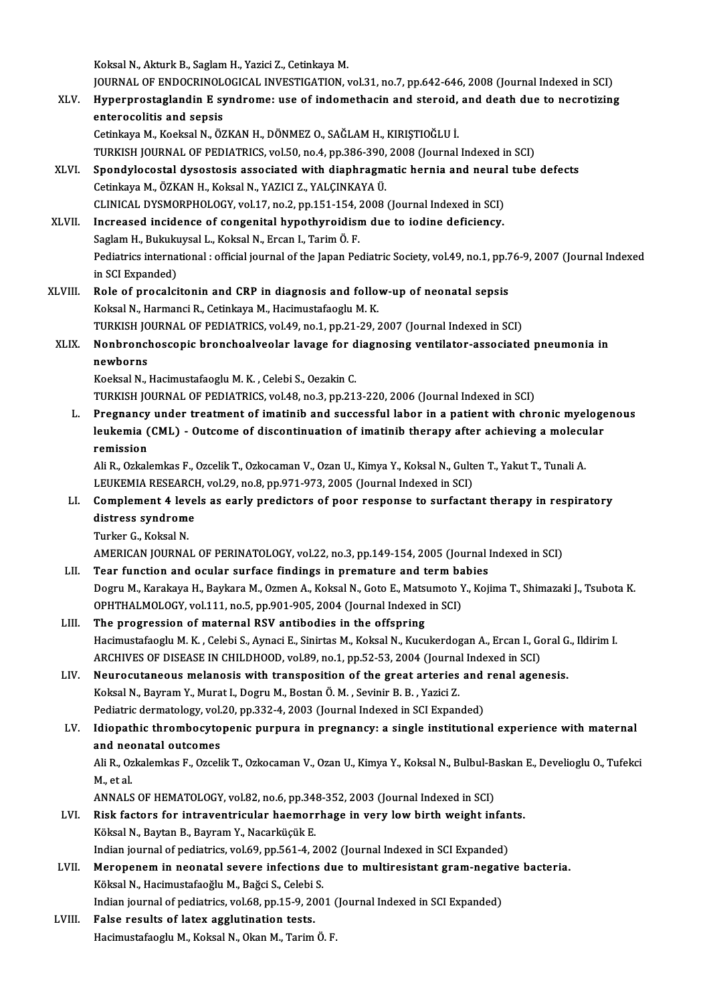Koksal N., Akturk B., Saglam H., Yazici Z., Cetinkaya M.

Koksal N., Akturk B., Saglam H., Yazici Z., Cetinkaya M.<br>JOURNAL OF ENDOCRINOLOGICAL INVESTIGATION, vol.31, no.7, pp.642-646, 2008 (Journal Indexed in SCI)<br>Hunerprestasiendin E. sundreme: use of indemathesin and stereid, a Koksal N., Akturk B., Saglam H., Yazici Z., Cetinkaya M.<br>JOURNAL OF ENDOCRINOLOGICAL INVESTIGATION, vol.31, no.7, pp.642-646, 2008 (Journal Indexed in SCI)<br>XLV. Hyperprostaglandin E syndrome: use of indomethacin and steroi JOURNAL OF ENDOCRINOL<br>Hyperprostaglandin E sy<br>enterocolitis and sepsis<br>Cetinicum M. Koekeel N. Ö? XLV. Hyperprostaglandin E syndrome: use of indomethacin and steroid, and death due to necrotizing<br>enterocolitis and sepsis<br>Cetinkaya M., Koeksal N., ÖZKAN H., DÖNMEZ O., SAĞLAM H., KIRIŞTIOĞLU İ.

TURKISH JOURNAL OF PEDIATRICS, vol.50, no.4, pp.386-390, 2008 (Journal Indexed in SCI)

Cetinkaya M., Koeksal N., ÖZKAN H., DÖNMEZ O., SAĞLAM H., KIRIŞTIOĞLU İ.<br>TURKISH JOURNAL OF PEDIATRICS, vol.50, no.4, pp.386-390, 2008 (Journal Indexed in SCI)<br>XLVI. Spondylocostal dysostosis associated with diaphragmatic TURKISH JOURNAL OF PEDIATRICS, vol.50, no.4, pp.386-390,<br>Spondylocostal dysostosis associated with diaphragm<br>Cetinkaya M., ÖZKAN H., Koksal N., YAZICI Z., YALÇINKAYA Ü.<br>CLINICAL DYSMORRHOLOCY, vol.17, no.2, np.151,154,2009 Spondylocostal dysostosis associated with diaphragmatic hernia and neural<br>Cetinkaya M., ÖZKAN H., Koksal N., YAZICI Z., YALÇINKAYA Ü.<br>CLINICAL DYSMORPHOLOGY, vol.17, no.2, pp.151-154, 2008 (Journal Indexed in SCI)<br>Increase Cetinkaya M., ÖZKAN H., Koksal N., YAZICI Z., YALÇINKAYA Ü.<br>CLINICAL DYSMORPHOLOGY, vol.17, no.2, pp.151-154, 2008 (Journal Indexed in SCI)<br>XLVII. Increased incidence of congenital hypothyroidism due to iodine deficiency.

CLINICAL DYSMORPHOLOGY, vol.17, no.2, pp.151-154, 2<br>Increased incidence of congenital hypothyroidisr<br>Saglam H., Bukukuysal L., Koksal N., Ercan I., Tarim Ö. F.<br>Redistrics international : official journal of the Japan Bo Pediatrics international : official journal of the Japan Pediatric Society, vol.49, no.1, pp.76-9, 2007 (Journal Indexed<br>in SCI Expanded) Saglam H., Bukukuysal L., Koksal N., Ercan I., Tarim Ö. F. Pediatrics international : official journal of the Japan Pediatric Society, vol.49, no.1, pp.7<br>in SCI Expanded)<br>XLVIII. Role of procalcitonin and CRP in diagnosis and follow-up of neonatal sepsis<br>Kelrel N. Harmangi B. Ceti

in SCI Expanded)<br>Role of procalcitonin and CRP in diagnosis and follo<br>Koksal N., Harmanci R., Cetinkaya M., Hacimustafaoglu M. K.<br>TURKISH JOURNAL OF REDIATRICS vol.49, no.1, nn.21, 29, 2 Role of procalcitonin and CRP in diagnosis and follow-up of neonatal sepsis<br>Koksal N., Harmanci R., Cetinkaya M., Hacimustafaoglu M. K.<br>TURKISH JOURNAL OF PEDIATRICS, vol.49, no.1, pp.21-29, 2007 (Journal Indexed in SCI)<br>N TURKISH JOURNAL OF PEDIATRICS, vol.49, no.1, pp.21-29, 2007 (Journal Indexed in SCI)

# Koksal N., Harmanci R., Cetinkaya M., Hacimustafaoglu M. K.<br>TURKISH JOURNAL OF PEDIATRICS, vol.49, no.1, pp.21-29, 2007 (Journal Indexed in SCI)<br>XLIX. Nonbronchoscopic bronchoalveolar lavage for diagnosing ventilator-assoc

Koeksal N., Hacimustafaoglu M. K., Celebi S., Oezakin C.

TURKISH JOURNAL OF PEDIATRICS, vol.48, no.3, pp.213-220, 2006 (Journal Indexed in SCI)

Koeksal N., Hacimustafaoglu M. K. , Celebi S., Oezakin C.<br>TURKISH JOURNAL OF PEDIATRICS, vol.48, no.3, pp.213-220, 2006 (Journal Indexed in SCI)<br>L. Pregnancy under treatment of imatinib and successful labor in a patient wi TURKISH JOURNAL OF PEDIATRICS, vol.48, no.3, pp.213-220, 2006 (Journal Indexed in SCI)<br>Pregnancy under treatment of imatinib and successful labor in a patient with chronic myeloge<br>leukemia (CML) - Outcome of discontinuatio Pregnancy<br>leukemia (<br>remission<br>Ali P. Orkak leukemia (CML) - Outcome of discontinuation of imatinib therapy after achieving a molecular<br>remission<br>Ali R., Ozkalemkas F., Ozcelik T., Ozkocaman V., Ozan U., Kimya Y., Koksal N., Gulten T., Yakut T., Tunali A.

r<mark>emission</mark><br>Ali R., Ozkalemkas F., Ozcelik T., Ozkocaman V., Ozan U., Kimya Y., Koksal N., Gult<del>.</del><br>LEUKEMIA RESEARCH, vol.29, no.8, pp.971-973, 2005 (Journal Indexed in SCI)<br>Complement A levels es esply prodisters of peer

## LI. Complement 4 levels as early predictors of poor response to surfactant therapy in respiratory LEUKEMIA RESEARCI<br>Complement 4 leve<br>distress syndrome<br>Turker 6 Koksel N distress syndrome<br>Turker G., Koksal N. distress syndrome<br>Turker G., Koksal N.<br>AMERICAN JOURNAL OF PERINATOLOGY, vol.22, no.3, pp.149-154, 2005 (Journal Indexed in SCI)<br>Tear function and acular surface findings in premature and term bebies.

Turker G., Koksal N.<br>AMERICAN JOURNAL OF PERINATOLOGY, vol.22, no.3, pp.149-154, 2005 (Journal 1<br>LII. Tear function and ocular surface findings in premature and term babies<br>Degru M. Karakaya H. Baykaya M. Ozman A. Kaksal N AMERICAN JOURNAL OF PERINATOLOGY, vol.22, no.3, pp.149-154, 2005 (Journal Indexed in SCI)<br>Tear function and ocular surface findings in premature and term babies<br>Dogru M., Karakaya H., Baykara M., Ozmen A., Koksal N., Goto LII. Tear function and ocular surface findings in premature and term babies<br>Dogru M., Karakaya H., Baykara M., Ozmen A., Koksal N., Goto E., Matsumoto Y., Kojima T., Shimazaki J., Tsubota K.<br>OPHTHALMOLOGY, vol.111, no.5, p

## LIII. The progression of maternal RSV antibodies in the offspring Hacimustafaoglu M.K., Celebi S., Aynaci E., Sinirtas M., Koksal N., Kucukerdogan A., Ercan I., Goral G., Ildirim I. The progression of maternal RSV antibodies in the offspring<br>Hacimustafaoglu M. K. , Celebi S., Aynaci E., Sinirtas M., Koksal N., Kucukerdogan A., Ercan I., Go<br>ARCHIVES OF DISEASE IN CHILDHOOD, vol.89, no.1, pp.52-53, 2004 Hacimustafaoglu M. K., Celebi S., Aynaci E., Sinirtas M., Koksal N., Kucukerdogan A., Ercan I., Goral G<br>ARCHIVES OF DISEASE IN CHILDHOOD, vol.89, no.1, pp.52-53, 2004 (Journal Indexed in SCI)<br>LIV. Neurocutaneous melanosis

- ARCHIVES OF DISEASE IN CHILDHOOD, vol.89, no.1, pp.52-53, 2004 (Journa<br>Neurocutaneous melanosis with transposition of the great arteries<br>Koksal N., Bayram Y., Murat I., Dogru M., Bostan Ö. M. , Sevinir B. B. , Yazici Z.<br>Pe Neurocutaneous melanosis with transposition of the great arteries and<br>Koksal N., Bayram Y., Murat I., Dogru M., Bostan Ö. M. , Sevinir B. B. , Yazici Z.<br>Pediatric dermatology, vol.20, pp.332-4, 2003 (Journal Indexed in SCI
- Koksal N., Bayram Y., Murat I., Dogru M., Bostan Ö. M. , Sevinir B. B. , Yazici Z.<br>Pediatric dermatology, vol.20, pp.332-4, 2003 (Journal Indexed in SCI Expanded)<br>LV. Idiopathic thrombocytopenic purpura in pregnancy: a sin Pediatric dermatology, vol.<br>Idiopathic thrombocyto<br>and neonatal outcomes Idiopathic thrombocytopenic purpura in pregnancy: a single institutional experience with maternal<br>and neonatal outcomes<br>Ali R., Ozkalemkas F., Ozcelik T., Ozkocaman V., Ozan U., Kimya Y., Koksal N., Bulbul-Baskan E., Devel

and neo<br>Ali R., Oz<br>M., et al.<br>ANNALS Ali R., Ozkalemkas F., Ozcelik T., Ozkocaman V., Ozan U., Kimya Y., Koksal N., Bulbul-Ba<br>M., et al.<br>ANNALS OF HEMATOLOGY, vol.82, no.6, pp.348-352, 2003 (Journal Indexed in SCI)<br>Bisk fostors for intraventrigular boomerrhag

- M., et al.<br>ANNALS OF HEMATOLOGY, vol.82, no.6, pp.348-352, 2003 (Journal Indexed in SCI)<br>LVI. Risk factors for intraventricular haemorrhage in very low birth weight infants.<br>Kälsel N. Peytan B. Peyrem V. Necerkieük E ANNALS OF HEMATOLOGY, vol.82, no.6, pp.34;<br>Risk factors for intraventricular haemori<br>Köksal N., Baytan B., Bayram Y., Nacarküçük E.<br>Indian journal of podiatrics, vol.60, np.561.4, 2 Risk factors for intraventricular haemorrhage in very low birth weight infan<br>Köksal N., Baytan B., Bayram Y., Nacarküçük E.<br>Indian journal of pediatrics, vol.69, pp.561-4, 2002 (Journal Indexed in SCI Expanded)<br>Marananam i Köksal N., Baytan B., Bayram Y., Nacarküçük E.<br>Indian journal of pediatrics, vol.69, pp.561-4, 2002 (Journal Indexed in SCI Expanded)<br>LVII. Meropenem in neonatal severe infections due to multiresistant gram-negative bacter
- Indian journal of pediatrics, vol.69, pp.561-4, 2002 (Journal Indexed in SCI Expanded)<br>Meropenem in neonatal severe infections due to multiresistant gram-negativ<br>Köksal N., Hacimustafaoğlu M., Bağci S., Celebi S. Meropenem in neonatal severe infections due to multiresistant gram-negat:<br>Köksal N., Hacimustafaoğlu M., Bağci S., Celebi S.<br>Indian journal of pediatrics, vol.68, pp.15-9, 2001 (Journal Indexed in SCI Expanded)<br>False resul Indian journal of pediatrics, vol.68, pp.15-9, 2001 (Journal Indexed in SCI Expanded)
- LVIII. False results of latex agglutination tests.<br>Hacimustafaoglu M., Koksal N., Okan M., Tarim Ö. F.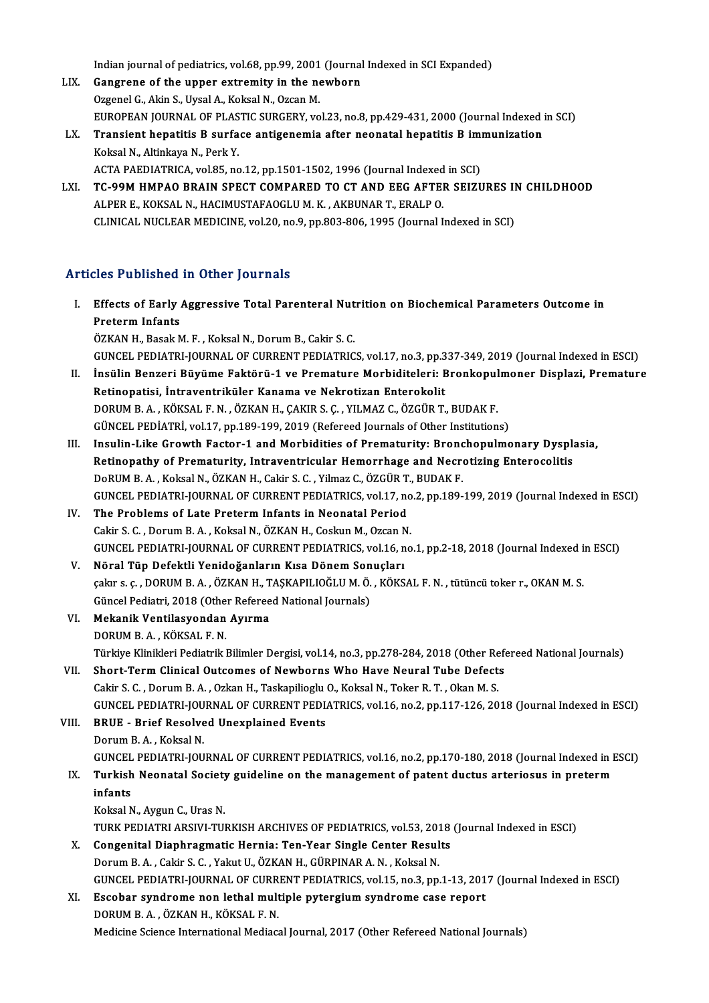Indian journal of pediatrics, vol.68, pp.99, 2001 (Journal Indexed in SCI Expanded)<br>Congreep of the unner extremity in the newborn

- Indian journal of pediatrics, vol.68, pp.99, 2001 (Journal<br>LIX. Gangrene of the upper extremity in the newborn<br>Creanel C. Altin S. Uygel A. Kelsel N. Orsen M. Indian journal of pediatrics, vol.68, pp.99, 2001<br>Gangrene of the upper extremity in the no<br>Ozgenel G., Akin S., Uysal A., Koksal N., Ozcan M.<br>FUROPEAN JOURNAL OF PLASTIC SURCERY vo Gangrene of the upper extremity in the newborn<br>Ozgenel G., Akin S., Uysal A., Koksal N., Ozcan M.<br>EUROPEAN JOURNAL OF PLASTIC SURGERY, vol.23, no.8, pp.429-431, 2000 (Journal Indexed in SCI)<br>Transient benatitie B. surface Ozgenel G., Akin S., Uysal A., Koksal N., Ozcan M.<br>EUROPEAN JOURNAL OF PLASTIC SURGERY, vol.23, no.8, pp.429-431, 2000 (Journal Indexed in EUROPEAN JOURNAL OF PLASTIC SURGERY, vol.23, no.8, pp.429-431, 2000 (Journal Indexe
- EUROPEAN JOURNAL OF PLAS<br>Transient hepatitis B surfa<br>Koksal N., Altinkaya N., Perk Y.<br>ACTA BAEDIATBICA vol 95, po Transient hepatitis B surface antigenemia after neonatal hepatitis B imi<br>Koksal N., Altinkaya N., Perk Y.<br>ACTA PAEDIATRICA, vol.85, no.12, pp.1501-1502, 1996 (Journal Indexed in SCI)<br>TC 99M HMBAO BRAIN SPECT COMBARED TO CT ACTA PAEDIATRICA, vol.85, no.12, pp.1501-1502, 1996 (Journal Indexed in SCI)
- Koksal N., Altinkaya N., Perk Y.<br>ACTA PAEDIATRICA, vol.85, no.12, pp.1501-1502, 1996 (Journal Indexed in SCI)<br>LXI. TC-99M HMPAO BRAIN SPECT COMPARED TO CT AND EEG AFTER SEIZURES IN CHILDHOOD<br>ALPER E.. KOKSAL N.. HACIMU CLINICAL NUCLEAR MEDICINE, vol.20, no.9, pp.803-806, 1995 (Journal Indexed in SCI)

### Articles Published in Other Journals

- rticles Published in Other Journals<br>I. Effects of Early Aggressive Total Parenteral Nutrition on Biochemical Parameters Outcome in<br>Restorm Infonte Effects of Early<br>Preterm Infants<br>Ö<sup>774N H</sup>. Besek A Preterm Infants<br>ÖZKAN H., Basak M. F. , Koksal N., Dorum B., Cakir S. C. Preterm Infants<br>ÖZKAN H., Basak M. F. , Koksal N., Dorum B., Cakir S. C.<br>GUNCEL PEDIATRI-JOURNAL OF CURRENT PEDIATRICS, vol.17, no.3, pp.337-349, 2019 (Journal Indexed in ESCI)<br>İngülin Benzeri Büyüme Faktörü 1 ve Premature
- ÖZKAN H., Basak M. F. , Koksal N., Dorum B., Cakir S. C.<br>GUNCEL PEDIATRI-JOURNAL OF CURRENT PEDIATRICS, vol.17, no.3, pp.337-349, 2019 (Journal Indexed in ESCI)<br>II. İnsülin Benzeri Büyüme Faktörü-1 ve Premature Morbidi GUNCEL PEDIATRI-JOURNAL OF CURRENT PEDIATRICS, vol.17, no.3, pp.3<br>İnsülin Benzeri Büyüme Faktörü-1 ve Premature Morbiditeleri: E<br>Retinopatisi, İntraventriküler Kanama ve Nekrotizan Enterokolit<br>DOPUM B A - KÖKSAL E N - ÖZKA II. İnsülin Benzeri Büyüme Faktörü-1 ve Premature Morbiditeleri: Bronkopulmoner Displazi, Premature<br>Retinopatisi, İntraventriküler Kanama ve Nekrotizan Enterokolit<br>DORUM B. A. , KÖKSAL F. N. , ÖZKAN H., ÇAKIR S. Ç. , YILMA GÜNCEL PEDİATRİ, vol.17, pp.189-199, 2019 (Refereed Journals of Other Institutions) DORUM B. A., KÖKSAL F. N., ÖZKAN H., ÇAKIR S. Ç., YILMAZ C., ÖZGÜR T., BUDAK F.<br>GÜNCEL PEDİATRİ, vol.17, pp.189-199, 2019 (Refereed Journals of Other Institutions)<br>III. Insulin-Like Growth Factor-1 and Morbidities of Prema
- GÜNCEL PEDİATRİ, vol.17, pp.189-199, 2019 (Refereed Journals of Other Institutions)<br>Insulin-Like Growth Factor-1 and Morbidities of Prematurity: Bronchopulmonary Dyspl:<br>Retinopathy of Prematurity, Intraventricular Hemorrha Retinopathy of Prematurity, Intraventricular Hemorrhage and Necrotizing Enterocolitis<br>DoRUM B.A., Koksal N., ÖZKAN H., Cakir S. C., Yilmaz C., ÖZGÜR T., BUDAK F. Retinopathy of Prematurity, Intraventricular Hemorrhage and Necrotizing Enterocolitis<br>DoRUM B. A. , Koksal N., ÖZKAN H., Cakir S. C. , Yilmaz C., ÖZGÜR T., BUDAK F.<br>GUNCEL PEDIATRI-JOURNAL OF CURRENT PEDIATRICS, vol.17, no DoRUM B. A., Koksal N., ÖZKAN H., Cakir S. C., Yilmaz C., ÖZGÜR T.<br>GUNCEL PEDIATRI-JOURNAL OF CURRENT PEDIATRICS, vol.17, no<br>IV. The Problems of Late Preterm Infants in Neonatal Period<br>Cokir S. C. Dorum B. A., Koksal N. ÖZ
- GUNCEL PEDIATRI-JOURNAL OF CURRENT PEDIATRICS, vol.17, no<br>The Problems of Late Preterm Infants in Neonatal Period<br>Cakir S. C. , Dorum B. A. , Koksal N., ÖZKAN H., Coskun M., Ozcan N.<br>CUNCEL PEDIATRI JOURNAL OF CURRENT PEDI The Problems of Late Preterm Infants in Neonatal Period<br>Cakir S. C. , Dorum B. A. , Koksal N., ÖZKAN H., Coskun M., Ozcan N.<br>GUNCEL PEDIATRI-JOURNAL OF CURRENT PEDIATRICS, vol.16, no.1, pp.2-18, 2018 (Journal Indexed in ES Cakir S. C., Dorum B. A., Koksal N., ÖZKAN H., Coskun M., Ozcan N.<br>GUNCEL PEDIATRI-JOURNAL OF CURRENT PEDIATRICS, vol.16, n<br>V. Nöral Tüp Defektli Yenidoğanların Kısa Dönem Sonuçları<br>Soluma G. DOBUM B. A. ÖZKAN H. TASKABU J
- GUNCEL PEDIATRI-JOURNAL OF CURRENT PEDIATRICS, vol.16, no.1, pp.2-18, 2018 (Journal Indexed i<br>Nöral Tüp Defektli Yenidoğanların Kısa Dönem Sonuçları<br>çakır s. ç. , DORUM B. A. , ÖZKAN H., TAŞKAPILIOĞLU M. Ö. , KÖKSAL F. N. Nöral Tüp Defektli Yenidoğanların Kısa Dönem Son<br>çakır s. ç. , DORUM B. A. , ÖZKAN H., TAŞKAPILIOĞLU M. Ö.<br>Güncel Pediatri, 2018 (Other Refereed National Journals)<br>Mekanik Ventilesyandan Ayunma Güncel Pediatri, 2018 (Other Refereed National Journals)
- çakır s. ç. , DORUM B. A. , ÖZKAN H., TAŞKAPILIOĞLU M. Ö. , KÖKSAL F. N. , tütüncü toker r., OKAN M. S.<br>Güncel Pediatri, 2018 (Other Refereed National Journals)<br>VI. Mekanik Ventilasyondan Ayırma<br>DORUM B. A. . KÖKSAL F. Mekanik Ventilasyondan Ayırma<br>DORUM B. A. , KÖKSAL F. N.<br>Türkiye Klinikleri Pediatrik Bilimler Dergisi, vol.14, no.3, pp.278-284, 2018 (Other Refereed National Journals)<br>Shart Term Clinical Outsomes of Newbarns Who Have No
- VII. Short-Term Clinical Outcomes of Newborns Who Have Neural Tube Defects<br>Cakir S. C., Dorum B. A., Ozkan H., Taskapilioglu O., Koksal N., Toker R. T., Okan M. S. Türkiye Klinikleri Pediatrik Bilimler Dergisi, vol.14, no.3, pp.278-284, 2018 (Other Re<br>Short-Term Clinical Outcomes of Newborns Who Have Neural Tube Defect:<br>Cakir S. C. , Dorum B. A. , Ozkan H., Taskapilioglu O., Koksal N GUNCEL PEDIATRI-JOURNALOF CURRENTPEDIATRICS,vol.16,no.2,pp.117-126,2018 (Journal Indexed inESCI) Cakir S. C., Dorum B. A., Ozkan H., Taskapilioglu<br>GUNCEL PEDIATRI-JOURNAL OF CURRENT PEDL<br>VIII. BRUE - Brief Resolved Unexplained Events

GUNCEL PEDIATRI-JOU<br>BRUE - Brief Resolve<br>Dorum B.A., Koksal N.<br>CUNCEL PEDIATRI JOU BRUE - Brief Resolved Unexplained Events<br>Dorum B. A. , Koksal N.<br>GUNCEL PEDIATRI-JOURNAL OF CURRENT PEDIATRICS, vol.16, no.2, pp.170-180, 2018 (Journal Indexed in ESCI)<br>Turkich Neonatel Society quideline on the management Dorum B. A. , Koksal N.<br>GUNCEL PEDIATRI-JOURNAL OF CURRENT PEDIATRICS, vol.16, no.2, pp.170-180, 2018 (Journal Indexed in I<br>IX. Turkish Neonatal Society guideline on the management of patent ductus arteriosus in preter

# GUNCEL<br>Turkish<br>infants<br>Kekel M Turkish Neonatal Society<br>infants<br>Koksal N., Aygun C., Uras N.<br>TURK REDIATRI ARSINI TUL

- i<mark>nfants</mark><br>Koksal N., Aygun C., Uras N.<br>TURK PEDIATRI ARSIVI-TURKISH ARCHIVES OF PEDIATRICS, vol.53, 2018 (Journal Indexed in ESCI)<br>Congenital Dianhragmatic Hornia: Ton Yoan Single Contor Pesults Koksal N., Aygun C., Uras N.<br>TURK PEDIATRI ARSIVI-TURKISH ARCHIVES OF PEDIATRICS, vol.53, 2018<br>X. Congenital Diaphragmatic Hernia: Ten-Year Single Center Results<br>Denum B.A., Cakin S.C., Volgut U. ÖZKAN H. GÜRRINAR A.N., Ko
- TURK PEDIATRI ARSIVI-TURKISH ARCHIVES OF PEDIATRICS, vol.53, 201<br>Congenital Diaphragmatic Hernia: Ten-Year Single Center Resul<br>Dorum B. A. , Cakir S. C. , Yakut U., ÖZKAN H., GÜRPINAR A. N. , Koksal N.<br>CUNCEL PEDIATRI JOUR Congenital Diaphragmatic Hernia: Ten-Year Single Center Results<br>Dorum B. A. , Cakir S. C. , Yakut U., ÖZKAN H., GÜRPINAR A. N. , Koksal N.<br>GUNCEL PEDIATRI-JOURNAL OF CURRENT PEDIATRICS, vol.15, no.3, pp.1-13, 2017 (Journal Dorum B. A., Cakir S. C., Yakut U., ÖZKAN H., GÜRPINAR A. N., Koksal N.<br>GUNCEL PEDIATRI-JOURNAL OF CURRENT PEDIATRICS, vol.15, no.3, pp.1-13, 201<br>XI. Escobar syndrome non lethal multiple pytergium syndrome case report<br>DOPU
- GUNCEL PEDIATRI-JOURNAL OF CURR<br>Escobar syndrome non lethal mult<br>DORUM B.A., ÖZKAN H., KÖKSAL F. N.<br>Medisine Ssiense International Medias: XI. Escobar syndrome non lethal multiple pytergium syndrome case report<br>DORUM B. A., ÖZKAN H., KÖKSAL F. N.<br>Medicine Science International Mediacal Journal, 2017 (Other Refereed National Journals)